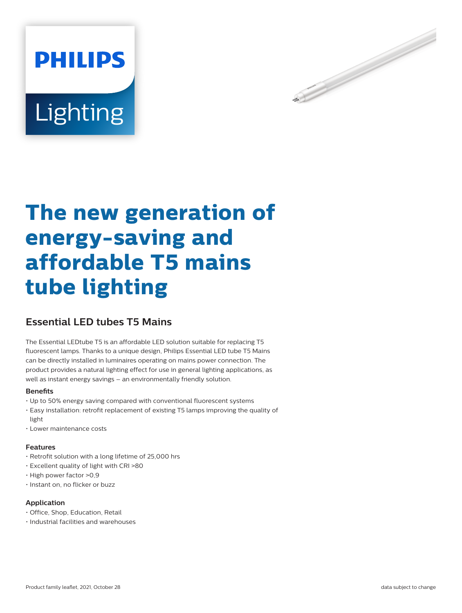# **PHILIPS Lighting**



## **The new generation of energy-saving and affordable T5 mains tube lighting**

### **Essential LED tubes T5 Mains**

The Essential LEDtube T5 is an affordable LED solution suitable for replacing T5 fluorescent lamps. Thanks to a unique design, Philips Essential LED tube T5 Mains can be directly installed in luminaires operating on mains power connection. The product provides a natural lighting effect for use in general lighting applications, as well as instant energy savings – an environmentally friendly solution.

#### **Benets**

- Up to 50% energy saving compared with conventional fluorescent systems
- Easy installation: retrofit replacement of existing T5 lamps improving the quality of
- light
- Lower maintenance costs

#### **Features**

- Retrofit solution with a long lifetime of 25,000 hrs
- Excellent quality of light with CRI >80
- High power factor >0,9
- Instant on, no flicker or buzz

#### **Application**

- Office, Shop, Education, Retail
- Industrial facilities and warehouses